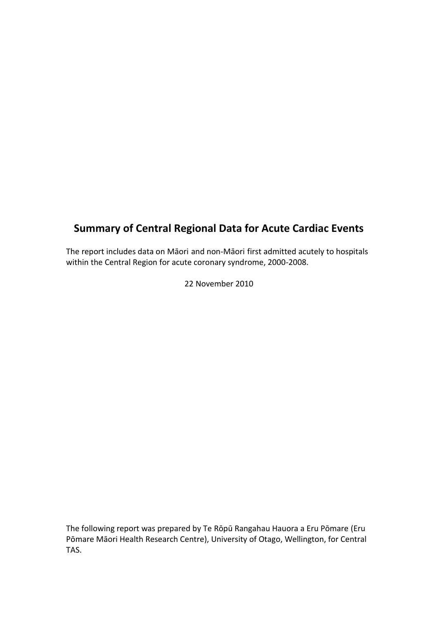# **Summary of Central Regional Data for Acute Cardiac Events**

The report includes data on Māori and non-Māori first admitted acutely to hospitals within the Central Region for acute coronary syndrome, 2000-2008.

22 November 2010

The following report was prepared by Te Rōpū Rangahau Hauora a Eru Pōmare (Eru Pōmare Māori Health Research Centre), University of Otago, Wellington, for Central TAS.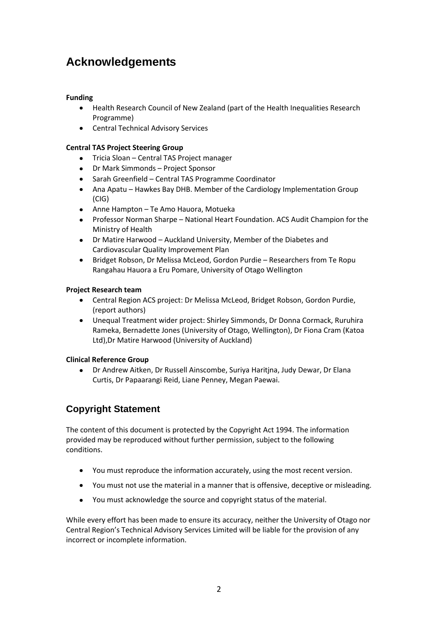# <span id="page-1-0"></span>**Acknowledgements**

## **Funding**

- Health Research Council of New Zealand (part of the Health Inequalities Research Programme)
- **•** Central Technical Advisory Services

## **Central TAS Project Steering Group**

- Tricia Sloan Central TAS Project manager
- $\bullet$ Dr Mark Simmonds – Project Sponsor
- Sarah Greenfield Central TAS Programme Coordinator
- Ana Apatu Hawkes Bay DHB. Member of the Cardiology Implementation Group (CIG)
- Anne Hampton Te Amo Hauora, Motueka  $\bullet$
- Professor Norman Sharpe National Heart Foundation. ACS Audit Champion for the  $\bullet$ Ministry of Health
- Dr Matire Harwood Auckland University, Member of the Diabetes and Cardiovascular Quality Improvement Plan
- $\bullet$ Bridget Robson, Dr Melissa McLeod, Gordon Purdie – Researchers from Te Ropu Rangahau Hauora a Eru Pomare, University of Otago Wellington

## **Project Research team**

- Central Region ACS project: Dr Melissa McLeod, Bridget Robson, Gordon Purdie, (report authors)
- Unequal Treatment wider project: Shirley Simmonds, Dr Donna Cormack, Ruruhira Rameka, Bernadette Jones (University of Otago, Wellington), Dr Fiona Cram (Katoa Ltd),Dr Matire Harwood (University of Auckland)

## **Clinical Reference Group**

 $\bullet$ Dr Andrew Aitken, Dr Russell Ainscombe, Suriya Haritjna, Judy Dewar, Dr Elana Curtis, Dr Papaarangi Reid, Liane Penney, Megan Paewai.

# **Copyright Statement**

The content of this document is protected by the Copyright Act 1994. The information provided may be reproduced without further permission, subject to the following conditions.

- You must reproduce the information accurately, using the most recent version.
- $\bullet$ You must not use the material in a manner that is offensive, deceptive or misleading.
- You must acknowledge the source and copyright status of the material.  $\bullet$

While every effort has been made to ensure its accuracy, neither the University of Otago nor Central Region's Technical Advisory Services Limited will be liable for the provision of any incorrect or incomplete information.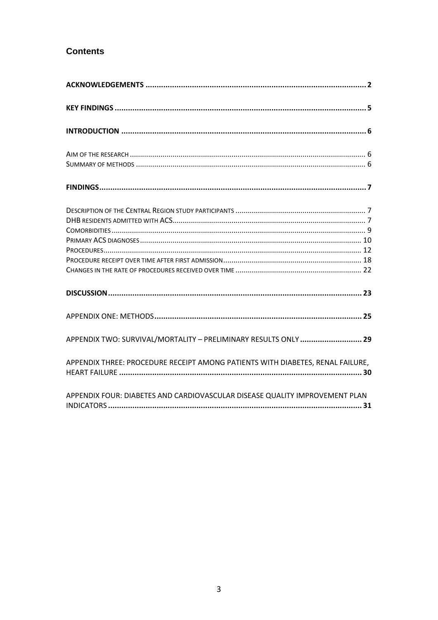# **Contents**

| APPENDIX TWO: SURVIVAL/MORTALITY - PRELIMINARY RESULTS ONLY  29                |
|--------------------------------------------------------------------------------|
| APPENDIX THREE: PROCEDURE RECEIPT AMONG PATIENTS WITH DIABETES, RENAL FAILURE, |
| APPENDIX FOUR: DIABETES AND CARDIOVASCULAR DISEASE QUALITY IMPROVEMENT PLAN    |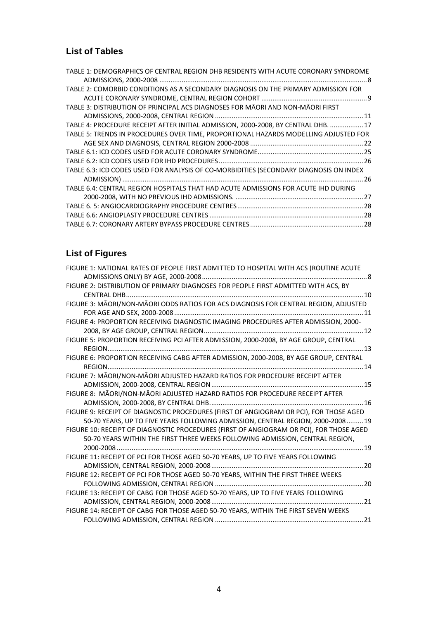# **List of Tables**

| TABLE 1: DEMOGRAPHICS OF CENTRAL REGION DHB RESIDENTS WITH ACUTE CORONARY SYNDROME     |  |
|----------------------------------------------------------------------------------------|--|
|                                                                                        |  |
| TABLE 2: COMORBID CONDITIONS AS A SECONDARY DIAGNOSIS ON THE PRIMARY ADMISSION FOR     |  |
|                                                                                        |  |
| TABLE 3: DISTRIBUTION OF PRINCIPAL ACS DIAGNOSES FOR MAORI AND NON-MAORI FIRST         |  |
|                                                                                        |  |
| TABLE 4: PROCEDURE RECEIPT AFTER INITIAL ADMISSION, 2000-2008, BY CENTRAL DHB.  17     |  |
| TABLE 5: TRENDS IN PROCEDURES OVER TIME, PROPORTIONAL HAZARDS MODELLING ADJUSTED FOR   |  |
|                                                                                        |  |
|                                                                                        |  |
|                                                                                        |  |
| TABLE 6.3: ICD CODES USED FOR ANALYSIS OF CO-MORBIDITIES (SECONDARY DIAGNOSIS ON INDEX |  |
|                                                                                        |  |
| TABLE 6.4: CENTRAL REGION HOSPITALS THAT HAD ACUTE ADMISSIONS FOR ACUTE IHD DURING     |  |
|                                                                                        |  |
|                                                                                        |  |
|                                                                                        |  |
|                                                                                        |  |

# **List of Figures**

<span id="page-3-0"></span>

| FIGURE 1: NATIONAL RATES OF PEOPLE FIRST ADMITTED TO HOSPITAL WITH ACS (ROUTINE ACUTE   |  |
|-----------------------------------------------------------------------------------------|--|
|                                                                                         |  |
| FIGURE 2: DISTRIBUTION OF PRIMARY DIAGNOSES FOR PEOPLE FIRST ADMITTED WITH ACS, BY      |  |
|                                                                                         |  |
| FIGURE 3: MĀORI/NON-MĀORI ODDS RATIOS FOR ACS DIAGNOSIS FOR CENTRAL REGION, ADJUSTED    |  |
|                                                                                         |  |
| FIGURE 4: PROPORTION RECEIVING DIAGNOSTIC IMAGING PROCEDURES AFTER ADMISSION, 2000-     |  |
|                                                                                         |  |
| FIGURE 5: PROPORTION RECEIVING PCI AFTER ADMISSION, 2000-2008, BY AGE GROUP, CENTRAL    |  |
|                                                                                         |  |
| FIGURE 6: PROPORTION RECEIVING CABG AFTER ADMISSION, 2000-2008, BY AGE GROUP, CENTRAL   |  |
|                                                                                         |  |
| FIGURE 7: MĀORI/NON-MĀORI ADJUSTED HAZARD RATIOS FOR PROCEDURE RECEIPT AFTER            |  |
|                                                                                         |  |
| FIGURE 8: MĀORI/NON-MĀORI ADJUSTED HAZARD RATIOS FOR PROCEDURE RECEIPT AFTER            |  |
|                                                                                         |  |
| FIGURE 9: RECEIPT OF DIAGNOSTIC PROCEDURES (FIRST OF ANGIOGRAM OR PCI), FOR THOSE AGED  |  |
| 50-70 YEARS, UP TO FIVE YEARS FOLLOWING ADMISSION, CENTRAL REGION, 2000-2008 19         |  |
| FIGURE 10: RECEIPT OF DIAGNOSTIC PROCEDURES (FIRST OF ANGIOGRAM OR PCI), FOR THOSE AGED |  |
| 50-70 YEARS WITHIN THE FIRST THREE WEEKS FOLLOWING ADMISSION, CENTRAL REGION,           |  |
|                                                                                         |  |
| FIGURE 11: RECEIPT OF PCI FOR THOSE AGED 50-70 YEARS, UP TO FIVE YEARS FOLLOWING        |  |
|                                                                                         |  |
| FIGURE 12: RECEIPT OF PCI FOR THOSE AGED 50-70 YEARS, WITHIN THE FIRST THREE WEEKS      |  |
|                                                                                         |  |
| FIGURE 13: RECEIPT OF CABG FOR THOSE AGED 50-70 YEARS, UP TO FIVE YEARS FOLLOWING       |  |
|                                                                                         |  |
| FIGURE 14: RECEIPT OF CABG FOR THOSE AGED 50-70 YEARS, WITHIN THE FIRST SEVEN WEEKS     |  |
|                                                                                         |  |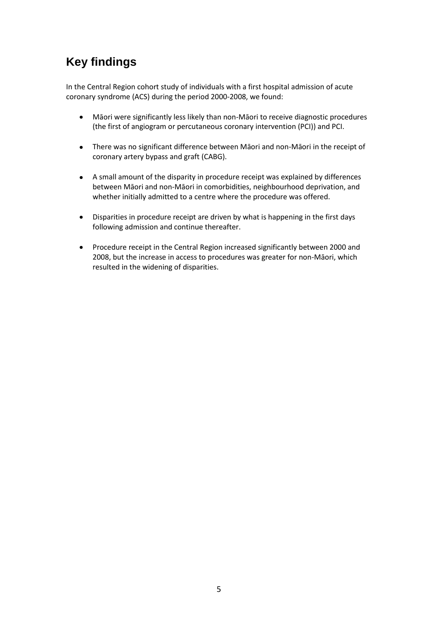# **Key findings**

In the Central Region cohort study of individuals with a first hospital admission of acute coronary syndrome (ACS) during the period 2000-2008, we found:

- $\bullet$ Māori were significantly less likely than non-Māori to receive diagnostic procedures (the first of angiogram or percutaneous coronary intervention (PCI)) and PCI.
- There was no significant difference between Māori and non-Māori in the receipt of  $\bullet$ coronary artery bypass and graft (CABG).
- $\bullet$ A small amount of the disparity in procedure receipt was explained by differences between Māori and non-Māori in comorbidities, neighbourhood deprivation, and whether initially admitted to a centre where the procedure was offered.
- $\bullet$ Disparities in procedure receipt are driven by what is happening in the first days following admission and continue thereafter.
- Procedure receipt in the Central Region increased significantly between 2000 and  $\bullet$ 2008, but the increase in access to procedures was greater for non-Māori, which resulted in the widening of disparities.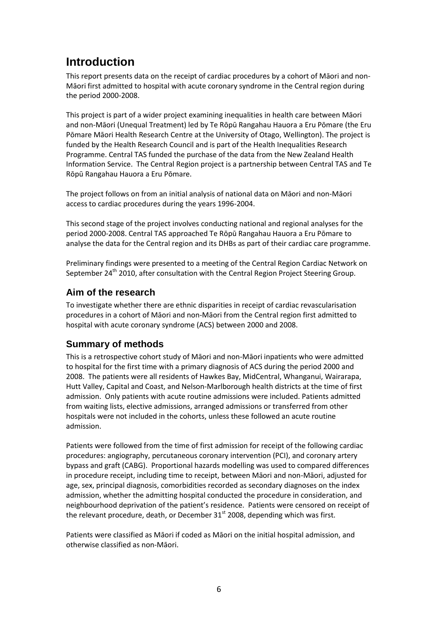# <span id="page-5-0"></span>**Introduction**

This report presents data on the receipt of cardiac procedures by a cohort of Māori and non-Māori first admitted to hospital with acute coronary syndrome in the Central region during the period 2000-2008.

This project is part of a wider project examining inequalities in health care between Māori and non-Māori (Unequal Treatment) led by Te Rōpū Rangahau Hauora a Eru Pōmare (the Eru Pōmare Māori Health Research Centre at the University of Otago, Wellington). The project is funded by the Health Research Council and is part of the Health Inequalities Research Programme. Central TAS funded the purchase of the data from the New Zealand Health Information Service. The Central Region project is a partnership between Central TAS and Te Rōpū Rangahau Hauora a Eru Pōmare.

The project follows on from an initial analysis of national data on Māori and non-Māori access to cardiac procedures during the years 1996-2004.

This second stage of the project involves conducting national and regional analyses for the period 2000-2008. Central TAS approached Te Rōpū Rangahau Hauora a Eru Pōmare to analyse the data for the Central region and its DHBs as part of their cardiac care programme.

Preliminary findings were presented to a meeting of the Central Region Cardiac Network on September 24<sup>th</sup> 2010, after consultation with the Central Region Project Steering Group.

## <span id="page-5-1"></span>**Aim of the research**

To investigate whether there are ethnic disparities in receipt of cardiac revascularisation procedures in a cohort of Māori and non-Māori from the Central region first admitted to hospital with acute coronary syndrome (ACS) between 2000 and 2008.

# <span id="page-5-2"></span>**Summary of methods**

This is a retrospective cohort study of Māori and non-Māori inpatients who were admitted to hospital for the first time with a primary diagnosis of ACS during the period 2000 and 2008. The patients were all residents of Hawkes Bay, MidCentral, Whanganui, Wairarapa, Hutt Valley, Capital and Coast, and Nelson-Marlborough health districts at the time of first admission. Only patients with acute routine admissions were included. Patients admitted from waiting lists, elective admissions, arranged admissions or transferred from other hospitals were not included in the cohorts, unless these followed an acute routine admission.

Patients were followed from the time of first admission for receipt of the following cardiac procedures: angiography, percutaneous coronary intervention (PCI), and coronary artery bypass and graft (CABG). Proportional hazards modelling was used to compared differences in procedure receipt, including time to receipt, between Māori and non-Māori, adjusted for age, sex, principal diagnosis, comorbidities recorded as secondary diagnoses on the index admission, whether the admitting hospital conducted the procedure in consideration, and neighbourhood deprivation of the patient's residence. Patients were censored on receipt of the relevant procedure, death, or December  $31<sup>st</sup>$  2008, depending which was first.

Patients were classified as Māori if coded as Māori on the initial hospital admission, and otherwise classified as non-Māori.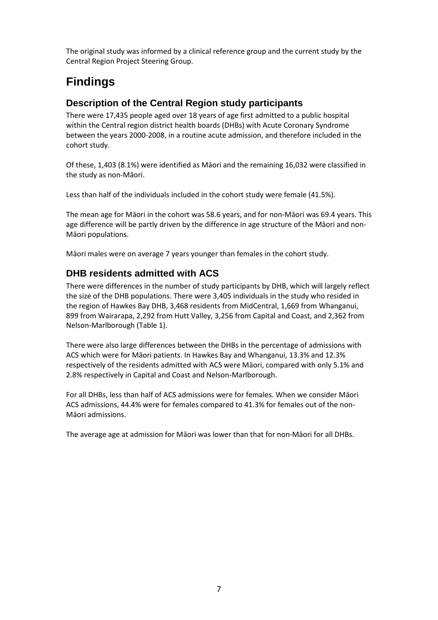The original study was informed by a clinical reference group and the current study by the Central Region Project Steering Group.

# <span id="page-6-0"></span>**Findings**

## <span id="page-6-1"></span>**Description of the Central Region study participants**

There were 17,435 people aged over 18 years of age first admitted to a public hospital within the Central region district health boards (DHBs) with Acute Coronary Syndrome between the years 2000-2008, in a routine acute admission, and therefore included in the cohort study.

Of these, 1,403 (8.1%) were identified as Māori and the remaining 16,032 were classified in the study as non-Māori.

Less than half of the individuals included in the cohort study were female (41.5%).

The mean age for Māori in the cohort was 58.6 years, and for non-Māori was 69.4 years. This age difference will be partly driven by the difference in age structure of the Māori and non-Māori populations.

<span id="page-6-2"></span>Māori males were on average 7 years younger than females in the cohort study.

## **DHB residents admitted with ACS**

There were differences in the number of study participants by DHB, which will largely reflect the size of the DHB populations. There were 3,405 individuals in the study who resided in the region of Hawkes Bay DHB, 3,468 residents from MidCentral, 1,669 from Whanganui, 899 from Wairarapa, 2,292 from Hutt Valley, 3,256 from Capital and Coast, and 2,362 from Nelson-Marlborough (Table 1).

There were also large differences between the DHBs in the percentage of admissions with ACS which were for Māori patients. In Hawkes Bay and Whanganui, 13.3% and 12.3% respectively of the residents admitted with ACS were Māori, compared with only 5.1% and 2.8% respectively in Capital and Coast and Nelson-Marlborough.

For all DHBs, less than half of ACS admissions were for females. When we consider Māori ACS admissions, 44.4% were for females compared to 41.3% for females out of the non-Māori admissions.

The average age at admission for Māori was lower than that for non-Māori for all DHBs.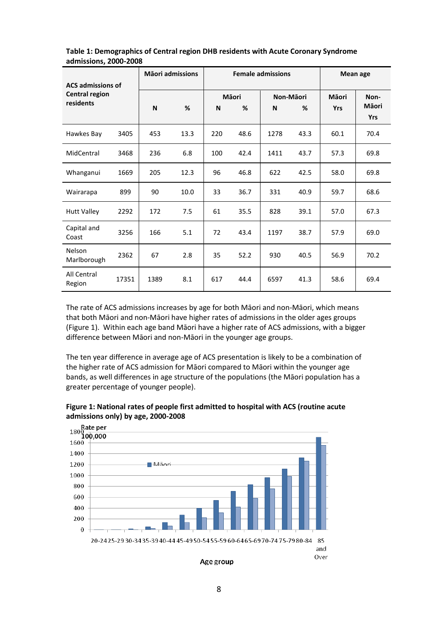| <b>ACS admissions of</b><br><b>Central region</b><br>residents |       | <b>Māori admissions</b> |      | <b>Female admissions</b> |            |                |      | Mean age            |                                     |
|----------------------------------------------------------------|-------|-------------------------|------|--------------------------|------------|----------------|------|---------------------|-------------------------------------|
|                                                                |       | N                       | %    | N                        | Māori<br>% | Non-Māori<br>N | %    | Māori<br><b>Yrs</b> | Non-<br><b>M</b> aori<br><b>Yrs</b> |
| Hawkes Bay                                                     | 3405  | 453                     | 13.3 | 220                      | 48.6       | 1278           | 43.3 | 60.1                | 70.4                                |
| MidCentral                                                     | 3468  | 236                     | 6.8  | 100                      | 42.4       | 1411           | 43.7 | 57.3                | 69.8                                |
| Whanganui                                                      | 1669  | 205                     | 12.3 | 96                       | 46.8       | 622            | 42.5 | 58.0                | 69.8                                |
| Wairarapa                                                      | 899   | 90                      | 10.0 | 33                       | 36.7       | 331            | 40.9 | 59.7                | 68.6                                |
| <b>Hutt Valley</b>                                             | 2292  | 172                     | 7.5  | 61                       | 35.5       | 828            | 39.1 | 57.0                | 67.3                                |
| Capital and<br>Coast                                           | 3256  | 166                     | 5.1  | 72                       | 43.4       | 1197           | 38.7 | 57.9                | 69.0                                |
| Nelson<br>Marlborough                                          | 2362  | 67                      | 2.8  | 35                       | 52.2       | 930            | 40.5 | 56.9                | 70.2                                |
| All Central<br>Region                                          | 17351 | 1389                    | 8.1  | 617                      | 44.4       | 6597           | 41.3 | 58.6                | 69.4                                |

<span id="page-7-0"></span>**Table 1: Demographics of Central region DHB residents with Acute Coronary Syndrome admissions, 2000-2008**

The rate of ACS admissions increases by age for both Māori and non-Māori, which means that both Māori and non-Māori have higher rates of admissions in the older ages groups (Figure 1). Within each age band Māori have a higher rate of ACS admissions, with a bigger difference between Māori and non-Māori in the younger age groups.

The ten year difference in average age of ACS presentation is likely to be a combination of the higher rate of ACS admission for Māori compared to Māori within the younger age bands, as well differences in age structure of the populations (the Māori population has a greater percentage of younger people).

<span id="page-7-1"></span>

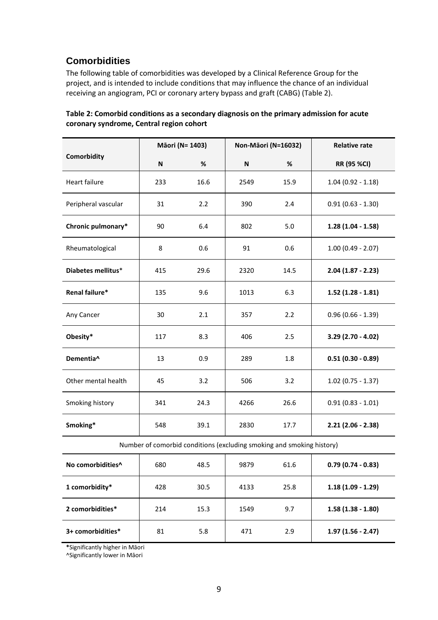# <span id="page-8-0"></span>**Comorbidities**

The following table of comorbidities was developed by a Clinical Reference Group for the project, and is intended to include conditions that may influence the chance of an individual receiving an angiogram, PCI or coronary artery bypass and graft (CABG) (Table 2).

<span id="page-8-1"></span>

| Table 2: Comorbid conditions as a secondary diagnosis on the primary admission for acute |
|------------------------------------------------------------------------------------------|
| coronary syndrome, Central region cohort                                                 |

|                       | Māori (N= 1403) |      |      | Non-Māori (N=16032) | <b>Relative rate</b> |  |
|-----------------------|-----------------|------|------|---------------------|----------------------|--|
| Comorbidity           | N               | %    | N    | %                   | <b>RR (95 %CI)</b>   |  |
| Heart failure         | 233             | 16.6 | 2549 | 15.9                | $1.04(0.92 - 1.18)$  |  |
| Peripheral vascular   | 31              | 2.2  | 390  | 2.4                 | $0.91(0.63 - 1.30)$  |  |
| Chronic pulmonary*    | 90              | 6.4  | 802  | 5.0                 | $1.28(1.04 - 1.58)$  |  |
| Rheumatological       | 8               | 0.6  | 91   | 0.6                 | $1.00(0.49 - 2.07)$  |  |
| Diabetes mellitus*    | 415             | 29.6 | 2320 | 14.5                | $2.04(1.87 - 2.23)$  |  |
| Renal failure*        | 135             | 9.6  | 1013 | 6.3                 | $1.52$ (1.28 - 1.81) |  |
| Any Cancer            | 30              | 2.1  | 357  | 2.2                 | $0.96(0.66 - 1.39)$  |  |
| Obesity*              | 117             | 8.3  | 406  | 2.5                 | $3.29$ (2.70 - 4.02) |  |
| Dementia <sup>^</sup> | 13              | 0.9  | 289  | 1.8                 | $0.51(0.30 - 0.89)$  |  |
| Other mental health   | 45              | 3.2  | 506  | 3.2                 | $1.02$ (0.75 - 1.37) |  |
| Smoking history       | 341             | 24.3 | 4266 | 26.6                | $0.91(0.83 - 1.01)$  |  |
| Smoking*              | 548             | 39.1 | 2830 | 17.7                | $2.21$ (2.06 - 2.38) |  |

Number of comorbid conditions (excluding smoking and smoking history)

| No comorbidities <sup>^</sup> | 680 | 48.5 | 9879 | 61.6 | $0.79(0.74 - 0.83)$ |
|-------------------------------|-----|------|------|------|---------------------|
| 1 comorbidity*                | 428 | 30.5 | 4133 | 25.8 | $1.18(1.09 - 1.29)$ |
| 2 comorbidities*              | 214 | 15.3 | 1549 | 9.7  | $1.58(1.38 - 1.80)$ |
| 3+ comorbidities*             | 81  | 5.8  | 471  | 2.9  | $1.97(1.56 - 2.47)$ |

**\***Significantly higher in Māori

^Significantly lower in Māori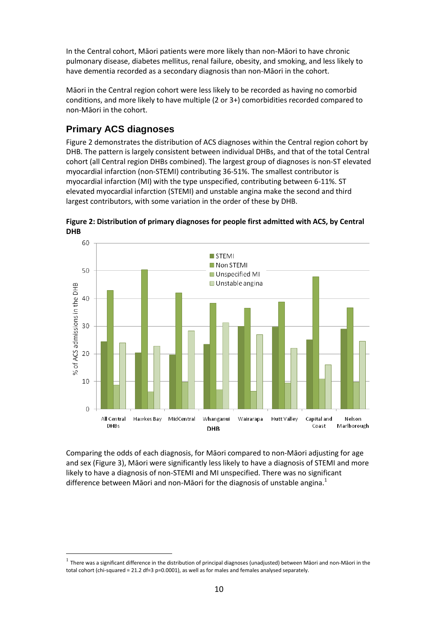In the Central cohort, Māori patients were more likely than non-Māori to have chronic pulmonary disease, diabetes mellitus, renal failure, obesity, and smoking, and less likely to have dementia recorded as a secondary diagnosis than non-Māori in the cohort.

Māori in the Central region cohort were less likely to be recorded as having no comorbid conditions, and more likely to have multiple (2 or 3+) comorbidities recorded compared to non-Māori in the cohort.

# <span id="page-9-0"></span>**Primary ACS diagnoses**

 $\overline{a}$ 

Figure 2 demonstrates the distribution of ACS diagnoses within the Central region cohort by DHB. The pattern is largely consistent between individual DHBs, and that of the total Central cohort (all Central region DHBs combined). The largest group of diagnoses is non-ST elevated myocardial infarction (non-STEMI) contributing 36-51%. The smallest contributor is myocardial infarction (MI) with the type unspecified, contributing between 6-11%. ST elevated myocardial infarction (STEMI) and unstable angina make the second and third largest contributors, with some variation in the order of these by DHB.

<span id="page-9-1"></span>



Comparing the odds of each diagnosis, for Māori compared to non-Māori adjusting for age and sex (Figure 3), Māori were significantly less likely to have a diagnosis of STEMI and more likely to have a diagnosis of non-STEMI and MI unspecified. There was no significant difference between Māori and non-Māori for the diagnosis of unstable angina.<sup>1</sup>

 $^1$  There was a significant difference in the distribution of principal diagnoses (unadjusted) between Māori and non-Māori in the total cohort (chi-squared = 21.2 df=3 p=0.0001), as well as for males and females analysed separately.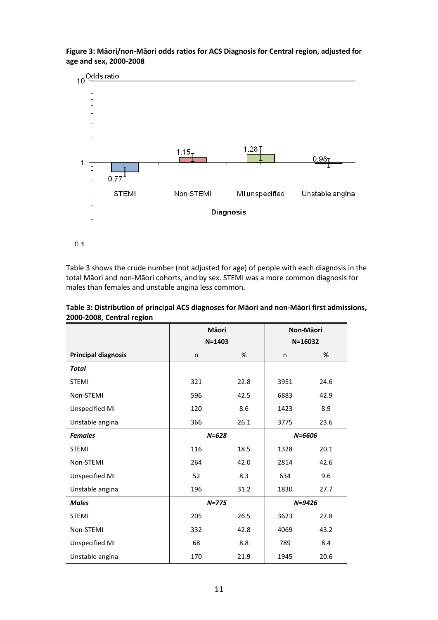

<span id="page-10-1"></span>**Figure 3: Māori/non-Māori odds ratios for ACS Diagnosis for Central region, adjusted for age and sex, 2000-2008**

Table 3 shows the crude number (not adjusted for age) of people with each diagnosis in the total Māori and non-Māori cohorts, and by sex. STEMI was a more common diagnosis for males than females and unstable angina less common.

|                            | Māori<br>$N = 1403$ |      |      | Non-Māori<br>$N = 16032$ |
|----------------------------|---------------------|------|------|--------------------------|
| <b>Principal diagnosis</b> | n                   | %    | n    | %                        |
| <b>Total</b>               |                     |      |      |                          |
| <b>STEMI</b>               | 321                 | 22.8 | 3951 | 24.6                     |
| Non-STEMI                  | 596                 | 42.5 | 6883 | 42.9                     |
| Unspecified MI             | 120                 | 8.6  | 1423 | 8.9                      |
| Unstable angina            | 366                 | 26.1 | 3775 | 23.6                     |
| <b>Females</b>             | $N = 628$           |      |      | $N = 6606$               |
| <b>STEMI</b>               | 116                 | 18.5 | 1328 | 20.1                     |
| Non-STEMI                  | 264                 | 42.0 | 2814 | 42.6                     |
| Unspecified MI             | 52                  | 8.3  | 634  | 9.6                      |
| Unstable angina            | 196                 | 31.2 | 1830 | 27.7                     |
| <b>Males</b>               | $N = 775$           |      |      | $N = 9426$               |
| <b>STEMI</b>               | 205                 | 26.5 | 3623 | 27.8                     |
| Non-STEMI                  | 332                 | 42.8 | 4069 | 43.2                     |
| Unspecified MI             | 68                  | 8.8  | 789  | 8.4                      |
| Unstable angina            | 170                 | 21.9 | 1945 | 20.6                     |

<span id="page-10-0"></span>**Table 3: Distribution of principal ACS diagnoses for Māori and non-Māori first admissions, 2000-2008, Central region**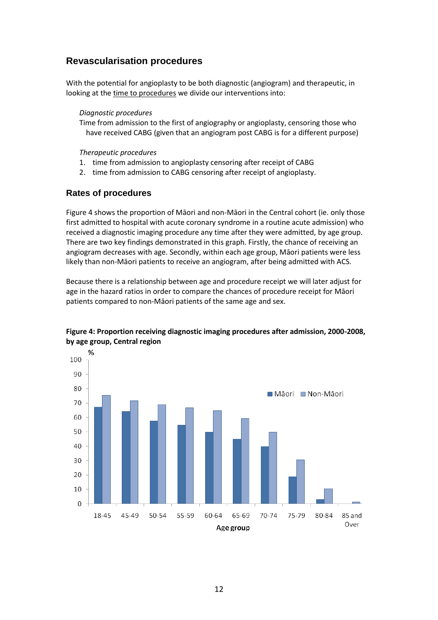## <span id="page-11-0"></span>**Revascularisation procedures**

With the potential for angioplasty to be both diagnostic (angiogram) and therapeutic, in looking at the time to procedures we divide our interventions into:

#### *Diagnostic procedures*

Time from admission to the first of angiography or angioplasty, censoring those who have received CABG (given that an angiogram post CABG is for a different purpose)

#### *Therapeutic procedures*

- 1. time from admission to angioplasty censoring after receipt of CABG
- 2. time from admission to CABG censoring after receipt of angioplasty.

### **Rates of procedures**

Figure 4 shows the proportion of Māori and non-Māori in the Central cohort (ie. only those first admitted to hospital with acute coronary syndrome in a routine acute admission) who received a diagnostic imaging procedure any time after they were admitted, by age group. There are two key findings demonstrated in this graph. Firstly, the chance of receiving an angiogram decreases with age. Secondly, within each age group, Māori patients were less likely than non-Māori patients to receive an angiogram, after being admitted with ACS.

Because there is a relationship between age and procedure receipt we will later adjust for age in the hazard ratios in order to compare the chances of procedure receipt for Māori patients compared to non-Māori patients of the same age and sex.



#### <span id="page-11-1"></span>**Figure 4: Proportion receiving diagnostic imaging procedures after admission, 2000-2008, by age group, Central region**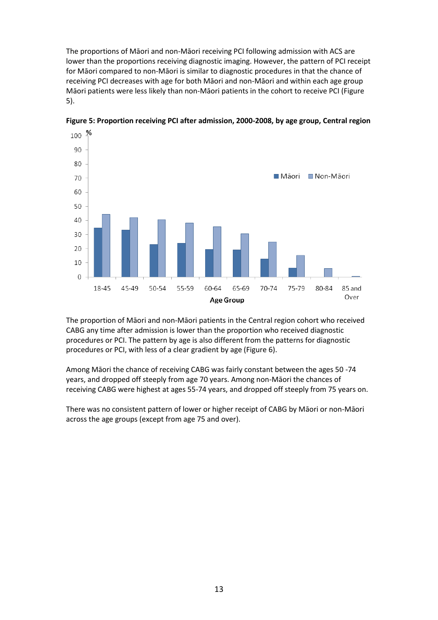The proportions of Māori and non-Māori receiving PCI following admission with ACS are lower than the proportions receiving diagnostic imaging. However, the pattern of PCI receipt for Māori compared to non-Māori is similar to diagnostic procedures in that the chance of receiving PCI decreases with age for both Māori and non-Māori and within each age group Māori patients were less likely than non-Māori patients in the cohort to receive PCI (Figure 5).



<span id="page-12-0"></span>**Figure 5: Proportion receiving PCI after admission, 2000-2008, by age group, Central region**

The proportion of Māori and non-Māori patients in the Central region cohort who received CABG any time after admission is lower than the proportion who received diagnostic procedures or PCI. The pattern by age is also different from the patterns for diagnostic procedures or PCI, with less of a clear gradient by age (Figure 6).

Among Māori the chance of receiving CABG was fairly constant between the ages 50 -74 years, and dropped off steeply from age 70 years. Among non-Māori the chances of receiving CABG were highest at ages 55-74 years, and dropped off steeply from 75 years on.

There was no consistent pattern of lower or higher receipt of CABG by Māori or non-Māori across the age groups (except from age 75 and over).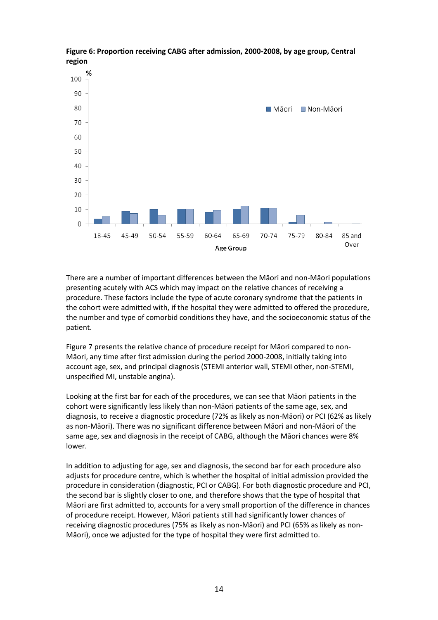

<span id="page-13-0"></span>**Figure 6: Proportion receiving CABG after admission, 2000-2008, by age group, Central region**

There are a number of important differences between the Māori and non-Māori populations presenting acutely with ACS which may impact on the relative chances of receiving a procedure. These factors include the type of acute coronary syndrome that the patients in the cohort were admitted with, if the hospital they were admitted to offered the procedure, the number and type of comorbid conditions they have, and the socioeconomic status of the patient.

Figure 7 presents the relative chance of procedure receipt for Māori compared to non-Māori, any time after first admission during the period 2000-2008, initially taking into account age, sex, and principal diagnosis (STEMI anterior wall, STEMI other, non-STEMI, unspecified MI, unstable angina).

Looking at the first bar for each of the procedures, we can see that Māori patients in the cohort were significantly less likely than non-Māori patients of the same age, sex, and diagnosis, to receive a diagnostic procedure (72% as likely as non-Māori) or PCI (62% as likely as non-Māori). There was no significant difference between Māori and non-Māori of the same age, sex and diagnosis in the receipt of CABG, although the Māori chances were 8% lower.

In addition to adjusting for age, sex and diagnosis, the second bar for each procedure also adjusts for procedure centre, which is whether the hospital of initial admission provided the procedure in consideration (diagnostic, PCI or CABG). For both diagnostic procedure and PCI, the second bar is slightly closer to one, and therefore shows that the type of hospital that Māori are first admitted to, accounts for a very small proportion of the difference in chances of procedure receipt. However, Māori patients still had significantly lower chances of receiving diagnostic procedures (75% as likely as non-Māori) and PCI (65% as likely as non-Māori), once we adjusted for the type of hospital they were first admitted to.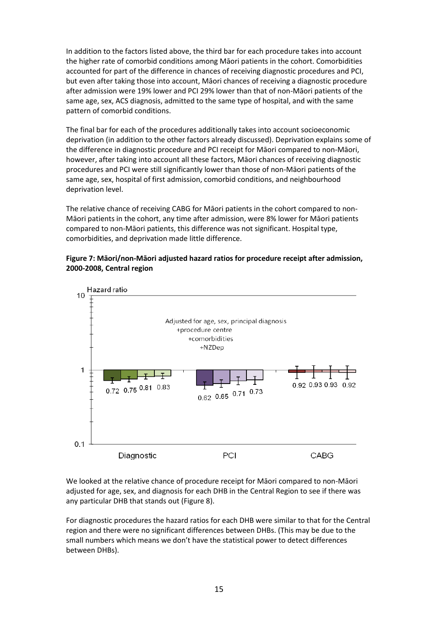In addition to the factors listed above, the third bar for each procedure takes into account the higher rate of comorbid conditions among Māori patients in the cohort. Comorbidities accounted for part of the difference in chances of receiving diagnostic procedures and PCI, but even after taking those into account, Māori chances of receiving a diagnostic procedure after admission were 19% lower and PCI 29% lower than that of non-Māori patients of the same age, sex, ACS diagnosis, admitted to the same type of hospital, and with the same pattern of comorbid conditions.

The final bar for each of the procedures additionally takes into account socioeconomic deprivation (in addition to the other factors already discussed). Deprivation explains some of the difference in diagnostic procedure and PCI receipt for Māori compared to non-Māori, however, after taking into account all these factors, Māori chances of receiving diagnostic procedures and PCI were still significantly lower than those of non-Māori patients of the same age, sex, hospital of first admission, comorbid conditions, and neighbourhood deprivation level.

The relative chance of receiving CABG for Māori patients in the cohort compared to non-Māori patients in the cohort, any time after admission, were 8% lower for Māori patients compared to non-Māori patients, this difference was not significant. Hospital type, comorbidities, and deprivation made little difference.

### <span id="page-14-0"></span>**Figure 7: Māori/non-Māori adjusted hazard ratios for procedure receipt after admission, 2000-2008, Central region**



We looked at the relative chance of procedure receipt for Māori compared to non-Māori adjusted for age, sex, and diagnosis for each DHB in the Central Region to see if there was any particular DHB that stands out (Figure 8).

For diagnostic procedures the hazard ratios for each DHB were similar to that for the Central region and there were no significant differences between DHBs. (This may be due to the small numbers which means we don't have the statistical power to detect differences between DHBs).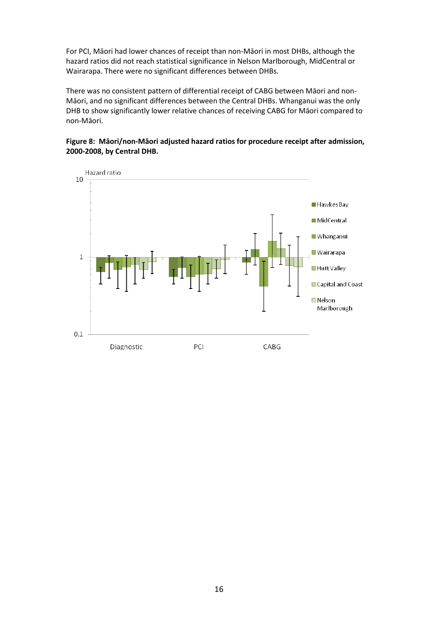For PCI, Māori had lower chances of receipt than non-Māori in most DHBs, although the hazard ratios did not reach statistical significance in Nelson Marlborough, MidCentral or Wairarapa. There were no significant differences between DHBs.

There was no consistent pattern of differential receipt of CABG between Māori and non-Māori, and no significant differences between the Central DHBs. Whanganui was the only DHB to show significantly lower relative chances of receiving CABG for Māori compared to non-Māori.

## <span id="page-15-0"></span>**Figure 8: Māori/non-Māori adjusted hazard ratios for procedure receipt after admission, 2000-2008, by Central DHB.**

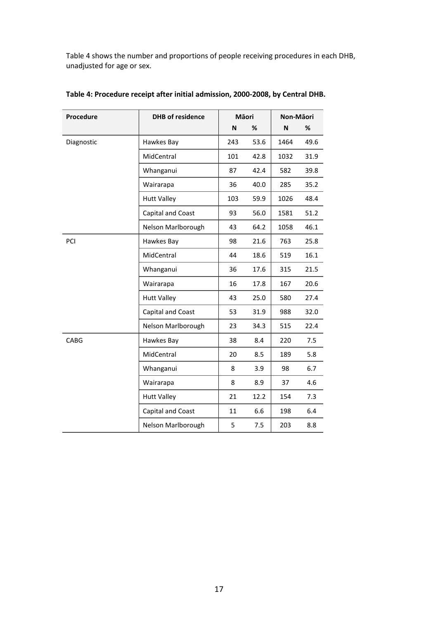Table 4 shows the number and proportions of people receiving procedures in each DHB, unadjusted for age or sex.

| Procedure  | <b>DHB</b> of residence<br>Māori |     | Non-Māori |      |      |
|------------|----------------------------------|-----|-----------|------|------|
|            |                                  | N   | $\%$      | N    | %    |
| Diagnostic | Hawkes Bay                       | 243 | 53.6      | 1464 | 49.6 |
|            | MidCentral                       | 101 | 42.8      | 1032 | 31.9 |
|            | Whanganui                        | 87  | 42.4      | 582  | 39.8 |
|            | Wairarapa                        | 36  | 40.0      | 285  | 35.2 |
|            | <b>Hutt Valley</b>               | 103 | 59.9      | 1026 | 48.4 |
|            | Capital and Coast                | 93  | 56.0      | 1581 | 51.2 |
|            | Nelson Marlborough               | 43  | 64.2      | 1058 | 46.1 |
| PCI        | Hawkes Bay                       | 98  | 21.6      | 763  | 25.8 |
|            | MidCentral                       | 44  | 18.6      | 519  | 16.1 |
|            | Whanganui                        | 36  | 17.6      | 315  | 21.5 |
|            | Wairarapa                        | 16  | 17.8      | 167  | 20.6 |
|            | <b>Hutt Valley</b>               | 43  | 25.0      | 580  | 27.4 |
|            | Capital and Coast                | 53  | 31.9      | 988  | 32.0 |
|            | Nelson Marlborough               | 23  | 34.3      | 515  | 22.4 |
| CABG       | Hawkes Bay                       | 38  | 8.4       | 220  | 7.5  |
|            | MidCentral                       | 20  | 8.5       | 189  | 5.8  |
|            | Whanganui                        | 8   | 3.9       | 98   | 6.7  |
|            | Wairarapa                        | 8   | 8.9       | 37   | 4.6  |
|            | <b>Hutt Valley</b>               | 21  | 12.2      | 154  | 7.3  |
|            | Capital and Coast                | 11  | 6.6       | 198  | 6.4  |
|            | Nelson Marlborough               | 5   | 7.5       | 203  | 8.8  |

## <span id="page-16-0"></span>**Table 4: Procedure receipt after initial admission, 2000-2008, by Central DHB.**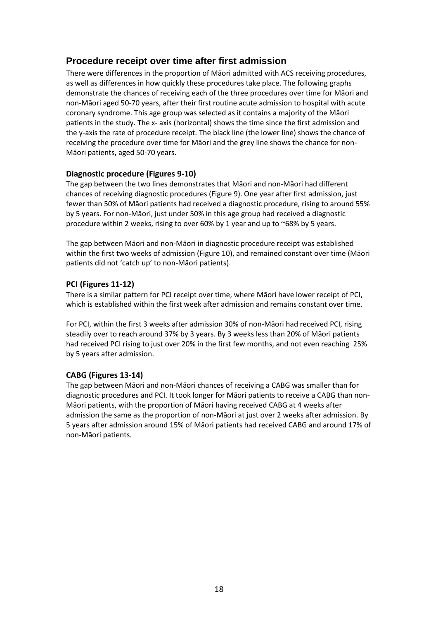## <span id="page-17-0"></span>**Procedure receipt over time after first admission**

There were differences in the proportion of Māori admitted with ACS receiving procedures, as well as differences in how quickly these procedures take place. The following graphs demonstrate the chances of receiving each of the three procedures over time for Māori and non-Māori aged 50-70 years, after their first routine acute admission to hospital with acute coronary syndrome. This age group was selected as it contains a majority of the Māori patients in the study. The x- axis (horizontal) shows the time since the first admission and the y-axis the rate of procedure receipt. The black line (the lower line) shows the chance of receiving the procedure over time for Māori and the grey line shows the chance for non-Māori patients, aged 50-70 years.

## **Diagnostic procedure (Figures 9-10)**

The gap between the two lines demonstrates that Māori and non-Māori had different chances of receiving diagnostic procedures (Figure 9). One year after first admission, just fewer than 50% of Māori patients had received a diagnostic procedure, rising to around 55% by 5 years. For non-Māori, just under 50% in this age group had received a diagnostic procedure within 2 weeks, rising to over 60% by 1 year and up to ~68% by 5 years.

The gap between Māori and non-Māori in diagnostic procedure receipt was established within the first two weeks of admission (Figure 10), and remained constant over time (Māori patients did not 'catch up' to non-Māori patients).

## **PCI (Figures 11-12)**

There is a similar pattern for PCI receipt over time, where Māori have lower receipt of PCI, which is established within the first week after admission and remains constant over time.

For PCI, within the first 3 weeks after admission 30% of non-Māori had received PCI, rising steadily over to reach around 37% by 3 years. By 3 weeks less than 20% of Māori patients had received PCI rising to just over 20% in the first few months, and not even reaching 25% by 5 years after admission.

## **CABG (Figures 13-14)**

The gap between Māori and non-Māori chances of receiving a CABG was smaller than for diagnostic procedures and PCI. It took longer for Māori patients to receive a CABG than non-Māori patients, with the proportion of Māori having received CABG at 4 weeks after admission the same as the proportion of non-Māori at just over 2 weeks after admission. By 5 years after admission around 15% of Māori patients had received CABG and around 17% of non-Māori patients.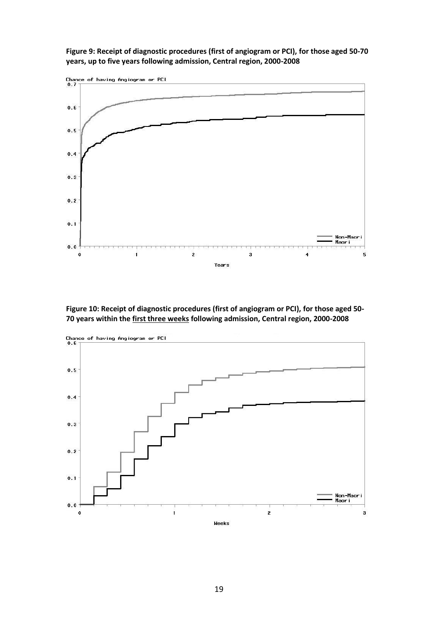<span id="page-18-0"></span>**Figure 9: Receipt of diagnostic procedures (first of angiogram or PCI), for those aged 50-70 years, up to five years following admission, Central region, 2000-2008**



<span id="page-18-1"></span>**Figure 10: Receipt of diagnostic procedures (first of angiogram or PCI), for those aged 50- 70 years within the first three weeks following admission, Central region, 2000-2008**

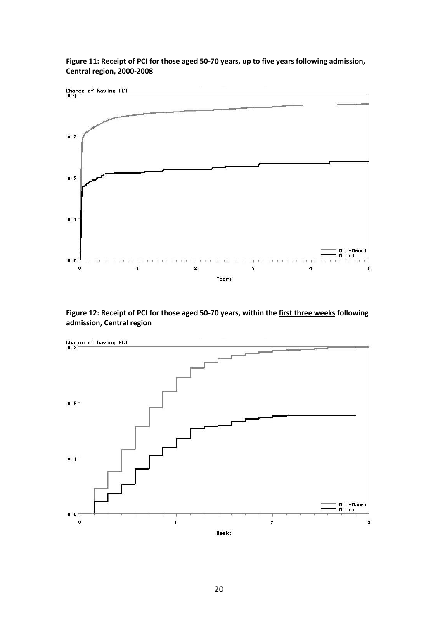

<span id="page-19-0"></span>**Figure 11: Receipt of PCI for those aged 50-70 years, up to five years following admission, Central region, 2000-2008**

<span id="page-19-1"></span>**Figure 12: Receipt of PCI for those aged 50-70 years, within the first three weeks following admission, Central region** 

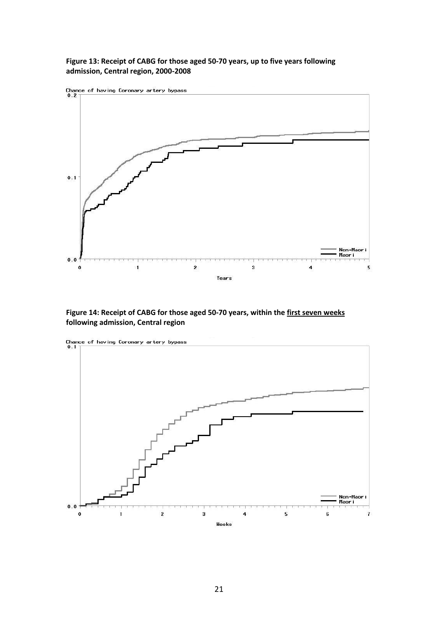<span id="page-20-0"></span>**Figure 13: Receipt of CABG for those aged 50-70 years, up to five years following admission, Central region, 2000-2008**



<span id="page-20-1"></span>**Figure 14: Receipt of CABG for those aged 50-70 years, within the first seven weeks following admission, Central region**

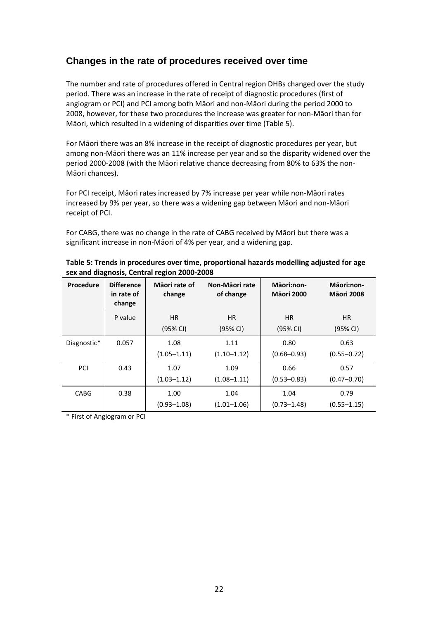## <span id="page-21-0"></span>**Changes in the rate of procedures received over time**

The number and rate of procedures offered in Central region DHBs changed over the study period. There was an increase in the rate of receipt of diagnostic procedures (first of angiogram or PCI) and PCI among both Māori and non-Māori during the period 2000 to 2008, however, for these two procedures the increase was greater for non-Māori than for Māori, which resulted in a widening of disparities over time (Table 5).

For Māori there was an 8% increase in the receipt of diagnostic procedures per year, but among non-Māori there was an 11% increase per year and so the disparity widened over the period 2000-2008 (with the Māori relative chance decreasing from 80% to 63% the non-Māori chances).

For PCI receipt, Māori rates increased by 7% increase per year while non-Māori rates increased by 9% per year, so there was a widening gap between Māori and non-Māori receipt of PCI.

For CABG, there was no change in the rate of CABG received by Māori but there was a significant increase in non-Māori of 4% per year, and a widening gap.

| Procedure   | <b>Difference</b><br>in rate of<br>change | Māori rate of<br>change | Non-Māori rate<br>of change | Māori:non-<br><b>Māori 2000</b> | Māori:non-<br><b>Māori 2008</b> |
|-------------|-------------------------------------------|-------------------------|-----------------------------|---------------------------------|---------------------------------|
|             | P value                                   | <b>HR</b><br>(95% CI)   | <b>HR</b><br>(95% CI)       | <b>HR</b><br>(95% CI)           | HR.<br>(95% CI)                 |
| Diagnostic* | 0.057                                     | 1.08<br>$(1.05 - 1.11)$ | 1.11<br>$(1.10 - 1.12)$     | 0.80<br>$(0.68 - 0.93)$         | 0.63<br>$(0.55 - 0.72)$         |
| PCI         | 0.43                                      | 1.07<br>$(1.03 - 1.12)$ | 1.09<br>$(1.08 - 1.11)$     | 0.66<br>$(0.53 - 0.83)$         | 0.57<br>$(0.47 - 0.70)$         |
| <b>CABG</b> | 0.38                                      | 1.00<br>$(0.93 - 1.08)$ | 1.04<br>$(1.01 - 1.06)$     | 1.04<br>$(0.73 - 1.48)$         | 0.79<br>$(0.55 - 1.15)$         |

<span id="page-21-1"></span>

| Table 5: Trends in procedures over time, proportional hazards modelling adjusted for age |  |
|------------------------------------------------------------------------------------------|--|
| sex and diagnosis, Central region 2000-2008                                              |  |

\* First of Angiogram or PCI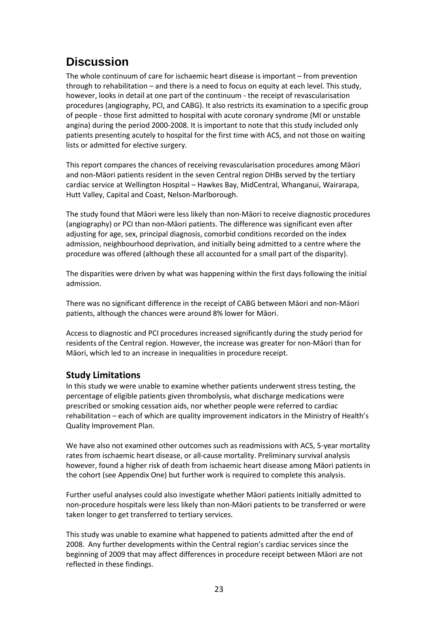# <span id="page-22-0"></span>**Discussion**

The whole continuum of care for ischaemic heart disease is important – from prevention through to rehabilitation – and there is a need to focus on equity at each level. This study, however, looks in detail at one part of the continuum - the receipt of revascularisation procedures (angiography, PCI, and CABG). It also restricts its examination to a specific group of people - those first admitted to hospital with acute coronary syndrome (MI or unstable angina) during the period 2000-2008. It is important to note that this study included only patients presenting acutely to hospital for the first time with ACS, and not those on waiting lists or admitted for elective surgery.

This report compares the chances of receiving revascularisation procedures among Māori and non-Māori patients resident in the seven Central region DHBs served by the tertiary cardiac service at Wellington Hospital – Hawkes Bay, MidCentral, Whanganui, Wairarapa, Hutt Valley, Capital and Coast, Nelson-Marlborough.

The study found that Māori were less likely than non-Māori to receive diagnostic procedures (angiography) or PCI than non-Māori patients. The difference was significant even after adjusting for age, sex, principal diagnosis, comorbid conditions recorded on the index admission, neighbourhood deprivation, and initially being admitted to a centre where the procedure was offered (although these all accounted for a small part of the disparity).

The disparities were driven by what was happening within the first days following the initial admission.

There was no significant difference in the receipt of CABG between Māori and non-Māori patients, although the chances were around 8% lower for Māori.

Access to diagnostic and PCI procedures increased significantly during the study period for residents of the Central region. However, the increase was greater for non-Māori than for Māori, which led to an increase in inequalities in procedure receipt.

## **Study Limitations**

In this study we were unable to examine whether patients underwent stress testing, the percentage of eligible patients given thrombolysis, what discharge medications were prescribed or smoking cessation aids, nor whether people were referred to cardiac rehabilitation – each of which are quality improvement indicators in the Ministry of Health's Quality Improvement Plan.

We have also not examined other outcomes such as readmissions with ACS, 5-year mortality rates from ischaemic heart disease, or all-cause mortality. Preliminary survival analysis however, found a higher risk of death from ischaemic heart disease among Māori patients in the cohort (see Appendix One) but further work is required to complete this analysis.

Further useful analyses could also investigate whether Māori patients initially admitted to non-procedure hospitals were less likely than non-Māori patients to be transferred or were taken longer to get transferred to tertiary services.

This study was unable to examine what happened to patients admitted after the end of 2008. Any further developments within the Central region's cardiac services since the beginning of 2009 that may affect differences in procedure receipt between Māori are not reflected in these findings.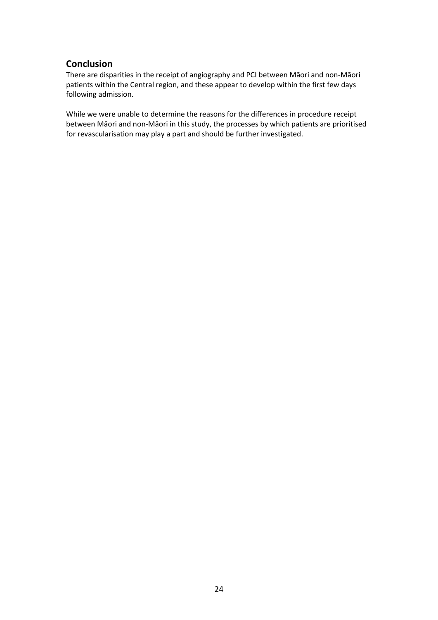## **Conclusion**

There are disparities in the receipt of angiography and PCI between Māori and non-Māori patients within the Central region, and these appear to develop within the first few days following admission.

While we were unable to determine the reasons for the differences in procedure receipt between Māori and non-Māori in this study, the processes by which patients are prioritised for revascularisation may play a part and should be further investigated.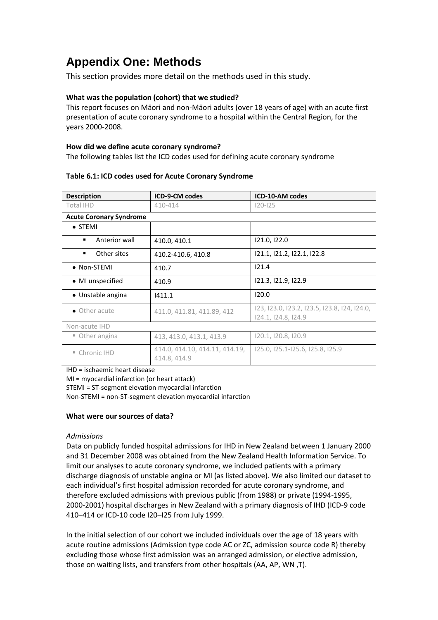# <span id="page-24-0"></span>**Appendix One: Methods**

This section provides more detail on the methods used in this study.

### **What was the population (cohort) that we studied?**

This report focuses on Māori and non-Māori adults (over 18 years of age) with an acute first presentation of acute coronary syndrome to a hospital within the Central Region, for the years 2000-2008.

#### **How did we define acute coronary syndrome?**

The following tables list the ICD codes used for defining acute coronary syndrome

| <b>Description</b>             | <b>ICD-9-CM codes</b>                          | <b>ICD-10-AM codes</b>                                              |  |  |  |  |
|--------------------------------|------------------------------------------------|---------------------------------------------------------------------|--|--|--|--|
| Total IHD                      | 410-414                                        | $120 - 125$                                                         |  |  |  |  |
| <b>Acute Coronary Syndrome</b> |                                                |                                                                     |  |  |  |  |
| $\bullet$ STEMI                |                                                |                                                                     |  |  |  |  |
| Anterior wall                  | 410.0, 410.1                                   | 121.0, 122.0                                                        |  |  |  |  |
| Other sites<br>٠               | 410.2-410.6, 410.8                             | 121.1, 121.2, 122.1, 122.8                                          |  |  |  |  |
| • Non-STEMI                    | 410.7                                          | 121.4                                                               |  |  |  |  |
| • MI unspecified               | 410.9                                          | 121.3, 121.9, 122.9                                                 |  |  |  |  |
| • Unstable angina              | 1411.1                                         | 120.0                                                               |  |  |  |  |
| • Other acute                  | 411.0, 411.81, 411.89, 412                     | 123, 123.0, 123.2, 123.5, 123.8, 124, 124.0,<br>124.1, 124.8, 124.9 |  |  |  |  |
| Non-acute IHD                  |                                                |                                                                     |  |  |  |  |
| ■ Other angina                 | 413, 413.0, 413.1, 413.9                       | 120.1, 120.8, 120.9                                                 |  |  |  |  |
| ■ Chronic IHD                  | 414.0, 414.10, 414.11, 414.19,<br>414.8, 414.9 | 125.0, 125.1-125.6, 125.8, 125.9                                    |  |  |  |  |

#### <span id="page-24-1"></span>**Table 6.1: ICD codes used for Acute Coronary Syndrome**

IHD = ischaemic heart disease

MI = myocardial infarction (or heart attack)

STEMI = ST-segment elevation myocardial infarction

Non-STEMI = non-ST-segment elevation myocardial infarction

#### **What were our sources of data?**

#### *Admissions*

Data on publicly funded hospital admissions for IHD in New Zealand between 1 January 2000 and 31 December 2008 was obtained from the New Zealand Health Information Service. To limit our analyses to acute coronary syndrome, we included patients with a primary discharge diagnosis of unstable angina or MI (as listed above). We also limited our dataset to each individual's first hospital admission recorded for acute coronary syndrome, and therefore excluded admissions with previous public (from 1988) or private (1994-1995, 2000-2001) hospital discharges in New Zealand with a primary diagnosis of IHD (ICD-9 code 410–414 or ICD-10 code I20–I25 from July 1999.

In the initial selection of our cohort we included individuals over the age of 18 years with acute routine admissions (Admission type code AC or ZC, admission source code R) thereby excluding those whose first admission was an arranged admission, or elective admission, those on waiting lists, and transfers from other hospitals (AA, AP, WN ,T).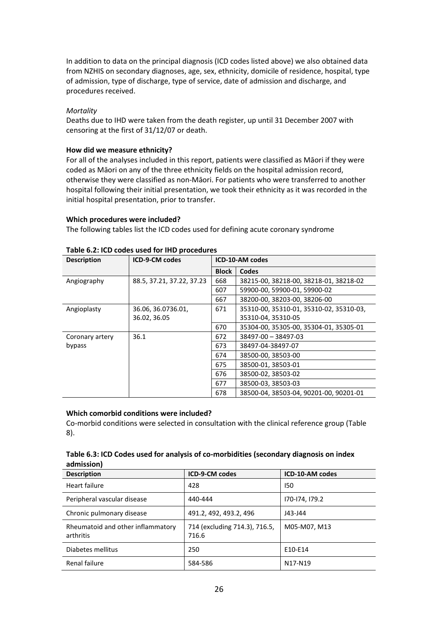In addition to data on the principal diagnosis (ICD codes listed above) we also obtained data from NZHIS on secondary diagnoses, age, sex, ethnicity, domicile of residence, hospital, type of admission, type of discharge, type of service, date of admission and discharge, and procedures received.

### *Mortality*

Deaths due to IHD were taken from the death register, up until 31 December 2007 with censoring at the first of 31/12/07 or death.

### **How did we measure ethnicity?**

For all of the analyses included in this report, patients were classified as Māori if they were coded as Māori on any of the three ethnicity fields on the hospital admission record, otherwise they were classified as non-Māori. For patients who were transferred to another hospital following their initial presentation, we took their ethnicity as it was recorded in the initial hospital presentation, prior to transfer.

### **Which procedures were included?**

The following tables list the ICD codes used for defining acute coronary syndrome

| <b>Description</b> | <b>ICD-9-CM codes</b>     | <b>ICD-10-AM codes</b> |                                         |  |  |  |
|--------------------|---------------------------|------------------------|-----------------------------------------|--|--|--|
|                    |                           | <b>Block</b>           | Codes                                   |  |  |  |
| Angiography        | 88.5, 37.21, 37.22, 37.23 | 668                    | 38215-00, 38218-00, 38218-01, 38218-02  |  |  |  |
|                    |                           | 607                    | 59900-00, 59900-01, 59900-02            |  |  |  |
|                    |                           | 667                    | 38200-00, 38203-00, 38206-00            |  |  |  |
| Angioplasty        | 36.06, 36.0736.01,        | 671                    | 35310-00, 35310-01, 35310-02, 35310-03, |  |  |  |
|                    | 36.02, 36.05              |                        | 35310-04, 35310-05                      |  |  |  |
|                    |                           | 670                    | 35304-00, 35305-00, 35304-01, 35305-01  |  |  |  |
| Coronary artery    | 36.1                      | 672                    | 38497-00 - 38497-03                     |  |  |  |
| bypass             |                           | 673                    | 38497-04-38497-07                       |  |  |  |
|                    |                           | 674                    | 38500-00, 38503-00                      |  |  |  |
|                    |                           | 675                    | 38500-01, 38503-01                      |  |  |  |
|                    |                           | 676                    | 38500-02, 38503-02                      |  |  |  |
|                    |                           | 677                    | 38500-03.38503-03                       |  |  |  |
|                    |                           | 678                    | 38500-04, 38503-04, 90201-00, 90201-01  |  |  |  |

#### <span id="page-25-0"></span>**Table 6.2: ICD codes used for IHD procedures**

#### **Which comorbid conditions were included?**

Co-morbid conditions were selected in consultation with the clinical reference group (Table 8).

### <span id="page-25-1"></span>**Table 6.3: ICD Codes used for analysis of co-morbidities (secondary diagnosis on index admission)**

| <b>Description</b>                             | <b>ICD-9-CM codes</b>                  | ICD-10-AM codes                  |
|------------------------------------------------|----------------------------------------|----------------------------------|
| Heart failure                                  | 428                                    | 150                              |
| Peripheral vascular disease                    | 440-444                                | 170-174, 179.2                   |
| Chronic pulmonary disease                      | 491.2, 492, 493.2, 496                 | J43-J44                          |
| Rheumatoid and other inflammatory<br>arthritis | 714 (excluding 714.3), 716.5,<br>716.6 | M05-M07, M13                     |
| Diabetes mellitus                              | 250                                    | E10-E14                          |
| Renal failure                                  | 584-586                                | N <sub>17</sub> -N <sub>19</sub> |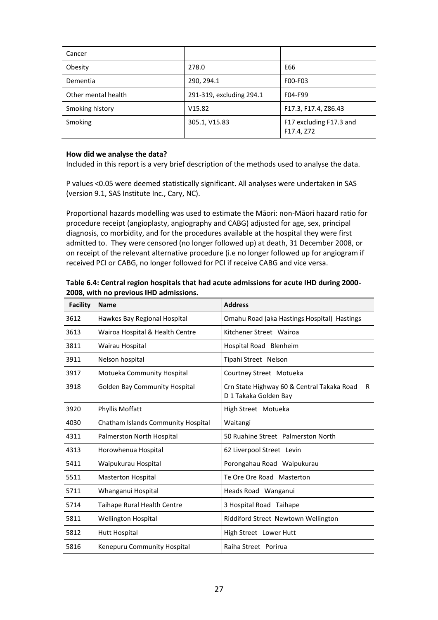| Cancer              |                          |                                       |
|---------------------|--------------------------|---------------------------------------|
| Obesity             | 278.0                    | E66                                   |
| Dementia            | 290, 294.1               | F00-F03                               |
| Other mental health | 291-319, excluding 294.1 | F04-F99                               |
| Smoking history     | V15.82                   | F17.3, F17.4, Z86.43                  |
| Smoking             | 305.1, V15.83            | F17 excluding F17.3 and<br>F17.4, Z72 |

### **How did we analyse the data?**

Included in this report is a very brief description of the methods used to analyse the data.

P values <0.05 were deemed statistically significant. All analyses were undertaken in SAS (version 9.1, SAS Institute Inc., Cary, NC).

Proportional hazards modelling was used to estimate the Māori: non-Māori hazard ratio for procedure receipt (angioplasty, angiography and CABG) adjusted for age, sex, principal diagnosis, co morbidity, and for the procedures available at the hospital they were first admitted to. They were censored (no longer followed up) at death, 31 December 2008, or on receipt of the relevant alternative procedure (i.e no longer followed up for angiogram if received PCI or CABG, no longer followed for PCI if receive CABG and vice versa.

| <b>Facility</b> | <b>Name</b>                          | <b>Address</b>                                                            |
|-----------------|--------------------------------------|---------------------------------------------------------------------------|
| 3612            | Hawkes Bay Regional Hospital         | Omahu Road (aka Hastings Hospital) Hastings                               |
| 3613            | Wairoa Hospital & Health Centre      | Kitchener Street Wairoa                                                   |
| 3811            | Wairau Hospital                      | Hospital Road Blenheim                                                    |
| 3911            | Nelson hospital                      | Tipahi Street Nelson                                                      |
| 3917            | Motueka Community Hospital           | Courtney Street Motueka                                                   |
| 3918            | <b>Golden Bay Community Hospital</b> | Crn State Highway 60 & Central Takaka Road<br>R.<br>D 1 Takaka Golden Bay |
| 3920            | Phyllis Moffatt                      | High Street Motueka                                                       |
| 4030            | Chatham Islands Community Hospital   | Waitangi                                                                  |
| 4311            | Palmerston North Hospital            | 50 Ruahine Street Palmerston North                                        |
| 4313            | Horowhenua Hospital                  | 62 Liverpool Street Levin                                                 |
| 5411            | Waipukurau Hospital                  | Porongahau Road Waipukurau                                                |
| 5511            | <b>Masterton Hospital</b>            | Te Ore Ore Road Masterton                                                 |
| 5711            | Whanganui Hospital                   | Heads Road Wanganui                                                       |
| 5714            | Taihape Rural Health Centre          | 3 Hospital Road Taihape                                                   |
| 5811            | <b>Wellington Hospital</b>           | Riddiford Street Newtown Wellington                                       |
| 5812            | Hutt Hospital                        | High Street Lower Hutt                                                    |
| 5816            | Kenepuru Community Hospital          | Raiha Street Porirua                                                      |

<span id="page-26-0"></span>**Table 6.4: Central region hospitals that had acute admissions for acute IHD during 2000- 2008, with no previous IHD admissions.**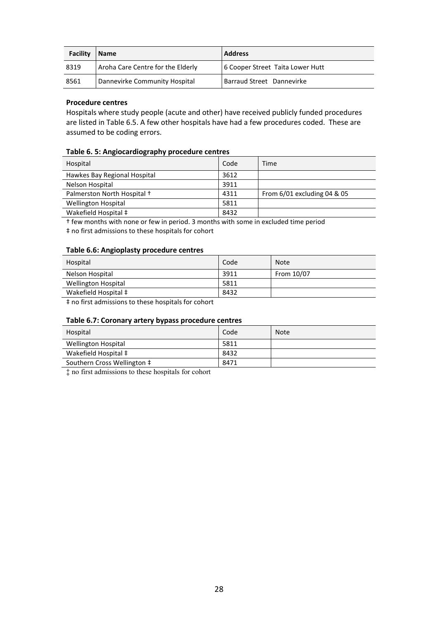| Facility | <b>Name</b>                       | <b>Address</b>                   |
|----------|-----------------------------------|----------------------------------|
| 8319     | Aroha Care Centre for the Elderly | 6 Cooper Street Taita Lower Hutt |
| 8561     | Dannevirke Community Hospital     | Barraud Street Dannevirke        |

### **Procedure centres**

Hospitals where study people (acute and other) have received publicly funded procedures are listed in Table 6.5. A few other hospitals have had a few procedures coded. These are assumed to be coding errors.

### <span id="page-27-0"></span>**Table 6. 5: Angiocardiography procedure centres**

| Hospital                     | Code | Time                          |
|------------------------------|------|-------------------------------|
| Hawkes Bay Regional Hospital | 3612 |                               |
| Nelson Hospital              | 3911 |                               |
| Palmerston North Hospital +  | 4311 | From $6/01$ excluding 04 & 05 |
| <b>Wellington Hospital</b>   | 5811 |                               |
| Wakefield Hospital ‡         | 8432 |                               |

† few months with none or few in period. 3 months with some in excluded time period

‡ no first admissions to these hospitals for cohort

#### <span id="page-27-1"></span>**Table 6.6: Angioplasty procedure centres**

| Hospital                   | Code | <b>Note</b> |
|----------------------------|------|-------------|
| Nelson Hospital            | 3911 | From 10/07  |
| <b>Wellington Hospital</b> | 5811 |             |
| Wakefield Hospital ‡       | 8432 |             |
| .                          |      |             |

‡ no first admissions to these hospitals for cohort

#### <span id="page-27-2"></span>**Table 6.7: Coronary artery bypass procedure centres**

| Hospital                    | Code | <b>Note</b> |
|-----------------------------|------|-------------|
| <b>Wellington Hospital</b>  | 5811 |             |
| Wakefield Hospital ‡        | 8432 |             |
| Southern Cross Wellington ‡ | 8471 |             |

‡ no first admissions to these hospitals for cohort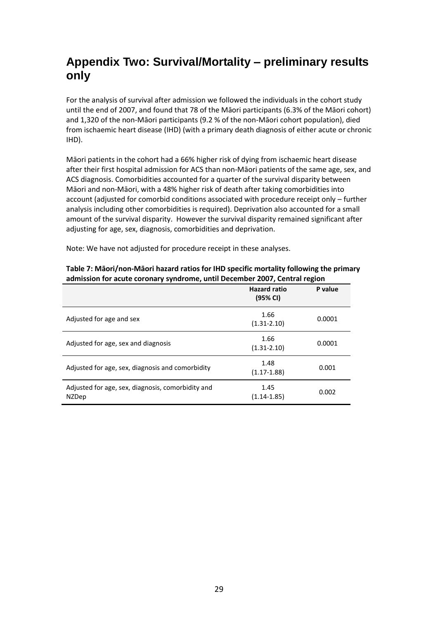# <span id="page-28-0"></span>**Appendix Two: Survival/Mortality – preliminary results only**

For the analysis of survival after admission we followed the individuals in the cohort study until the end of 2007, and found that 78 of the Māori participants (6.3% of the Māori cohort) and 1,320 of the non-Māori participants (9.2 % of the non-Māori cohort population), died from ischaemic heart disease (IHD) (with a primary death diagnosis of either acute or chronic IHD).

Māori patients in the cohort had a 66% higher risk of dying from ischaemic heart disease after their first hospital admission for ACS than non-Māori patients of the same age, sex, and ACS diagnosis. Comorbidities accounted for a quarter of the survival disparity between Māori and non-Māori, with a 48% higher risk of death after taking comorbidities into account (adjusted for comorbid conditions associated with procedure receipt only – further analysis including other comorbidities is required). Deprivation also accounted for a small amount of the survival disparity. However the survival disparity remained significant after adjusting for age, sex, diagnosis, comorbidities and deprivation.

Note: We have not adjusted for procedure receipt in these analyses.

|                                                                   | <b>Hazard ratio</b><br>(95% CI) | P value |
|-------------------------------------------------------------------|---------------------------------|---------|
| Adjusted for age and sex                                          | 1.66<br>$(1.31 - 2.10)$         | 0.0001  |
| Adjusted for age, sex and diagnosis                               | 1.66<br>$(1.31 - 2.10)$         | 0.0001  |
| Adjusted for age, sex, diagnosis and comorbidity                  | 1.48<br>$(1.17 - 1.88)$         | 0.001   |
| Adjusted for age, sex, diagnosis, comorbidity and<br><b>NZDep</b> | 1.45<br>$(1.14 - 1.85)$         | 0.002   |

#### **Table 7: Māori/non-Māori hazard ratios for IHD specific mortality following the primary admission for acute coronary syndrome, until December 2007, Central region**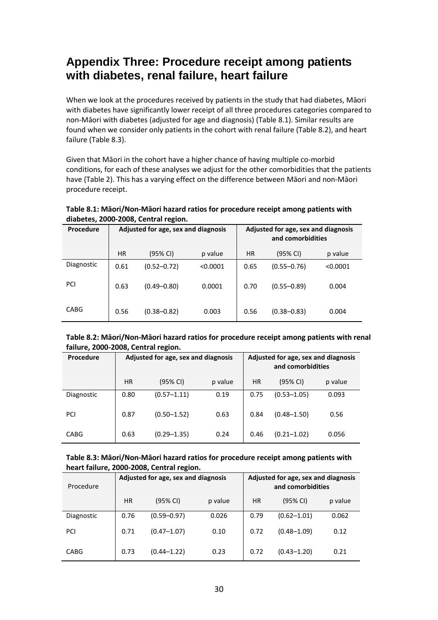# <span id="page-29-0"></span>**Appendix Three: Procedure receipt among patients with diabetes, renal failure, heart failure**

When we look at the procedures received by patients in the study that had diabetes, Māori with diabetes have significantly lower receipt of all three procedures categories compared to non-Māori with diabetes (adjusted for age and diagnosis) (Table 8.1). Similar results are found when we consider only patients in the cohort with renal failure (Table 8.2), and heart failure (Table 8.3).

Given that Māori in the cohort have a higher chance of having multiple co-morbid conditions, for each of these analyses we adjust for the other comorbidities that the patients have (Table 2). This has a varying effect on the difference between Māori and non-Māori procedure receipt.

**Table 8.1: Māori/Non-Māori hazard ratios for procedure receipt among patients with diabetes, 2000-2008, Central region.**

| <b>Procedure</b> | Adjusted for age, sex and diagnosis |                 |          | Adjusted for age, sex and diagnosis<br>and comorbidities |                 |          |
|------------------|-------------------------------------|-----------------|----------|----------------------------------------------------------|-----------------|----------|
|                  | <b>HR</b>                           | (95% CI)        | p value  | <b>HR</b>                                                | (95% CI)        | p value  |
| Diagnostic       | 0.61                                | $(0.52 - 0.72)$ | < 0.0001 | 0.65                                                     | $(0.55 - 0.76)$ | < 0.0001 |
| PCI              | 0.63                                | $(0.49 - 0.80)$ | 0.0001   | 0.70                                                     | $(0.55 - 0.89)$ | 0.004    |
| <b>CABG</b>      | 0.56                                | $(0.38 - 0.82)$ | 0.003    | 0.56                                                     | $(0.38 - 0.83)$ | 0.004    |

**Table 8.2: Māori/Non-Māori hazard ratios for procedure receipt among patients with renal failure, 2000-2008, Central region.**

| <b>Procedure</b> | Adjusted for age, sex and diagnosis |                 |         |      | Adjusted for age, sex and diagnosis<br>and comorbidities |         |
|------------------|-------------------------------------|-----------------|---------|------|----------------------------------------------------------|---------|
|                  | <b>HR</b>                           | (95% CI)        | p value | HR   | (95% CI)                                                 | p value |
| Diagnostic       | 0.80                                | $(0.57 - 1.11)$ | 0.19    | 0.75 | $(0.53 - 1.05)$                                          | 0.093   |
| PCI              | 0.87                                | $(0.50 - 1.52)$ | 0.63    | 0.84 | $(0.48 - 1.50)$                                          | 0.56    |
| <b>CABG</b>      | 0.63                                | $(0.29 - 1.35)$ | 0.24    | 0.46 | $(0.21 - 1.02)$                                          | 0.056   |

#### **Table 8.3: Māori/Non-Māori hazard ratios for procedure receipt among patients with heart failure, 2000-2008, Central region.**

| Procedure   | Adjusted for age, sex and diagnosis |                 |         |      | Adjusted for age, sex and diagnosis<br>and comorbidities |         |
|-------------|-------------------------------------|-----------------|---------|------|----------------------------------------------------------|---------|
|             | HR                                  | (95% CI)        | p value | HR   | (95% CI)                                                 | p value |
| Diagnostic  | 0.76                                | $(0.59 - 0.97)$ | 0.026   | 0.79 | $(0.62 - 1.01)$                                          | 0.062   |
| PCI         | 0.71                                | $(0.47 - 1.07)$ | 0.10    | 0.72 | $(0.48 - 1.09)$                                          | 0.12    |
| <b>CABG</b> | 0.73                                | $(0.44 - 1.22)$ | 0.23    | 0.72 | $(0.43 - 1.20)$                                          | 0.21    |